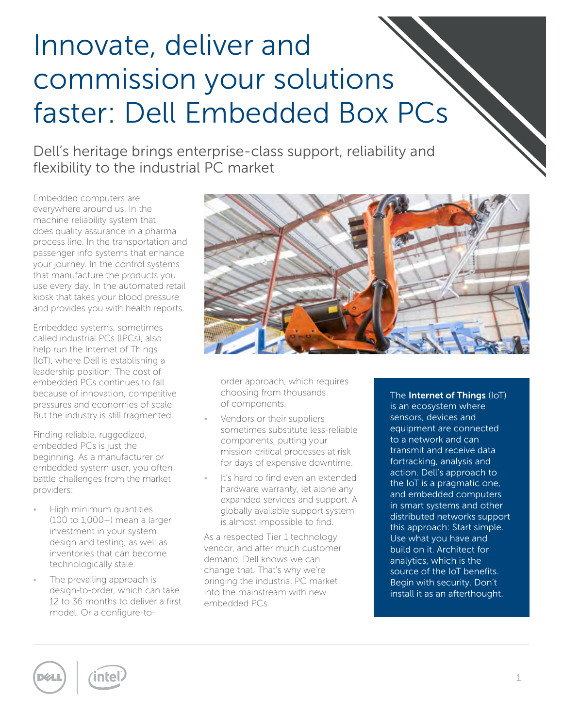# Innovate, deliver and commission your solutions faster: Dell Embedded Box PCs

Dell's heritage brings enterprise-class support, reliability and flexibility to the industrial PC market

Embedded computers are everywhere around us. In the machine reliability system that does quality assurance in a pharma process line. In the transportation and passenger info systems that enhance your journey. In the control systems that manufacture the products you use every day. In the automated retail kiosk that takes your blood pressure and provides you with health reports.

Embedded systems, sometimes called industrial PCs (IPCs), also help run the Internet of Things (IoT), where Dell is establishing a leadership position. The cost of embedded PCs continues to fall because of innovation, competitive pressures and economies of scale. But the industry is still fragmented.

Finding reliable, ruggedized, embedded PCs is just the beginning. As a manufacturer or embedded system user, you often battle challenges from the market providers:

- High minimum quantities (100 to 1,000+) mean a larger investment in your system design and testing, as well as inventories that can become technologically stale.
- The prevailing approach is design-to-order, which can take 12 to 36 months to deliver a first model. Or a configure-to-



order approach, which requires choosing from thousands of components.

- Vendors or their suppliers sometimes substitute less-reliable components, putting your mission-critical processes at risk for days of expensive downtime.
- It's hard to find even an extended hardware warranty, let alone any expanded services and support. A globally available support system is almost impossible to find.

As a respected Tier 1 technology vendor, and after much customer demand, Dell knows we can change that. That's why we're bringing the industrial PC market into the mainstream with new embedded PCs.

The Internet of Things (IoT) is an ecosystem where sensors, devices and equipment are connected to a network and can transmit and receive data fortracking, analysis and action. Dell's approach to the IoT is a pragmatic one, and embedded computers in smart systems and other distributed networks support this approach: Start simple. Use what you have and build on it. Architect for analytics, which is the source of the IoT benefits. Begin with security. Don't install it as an afterthought.



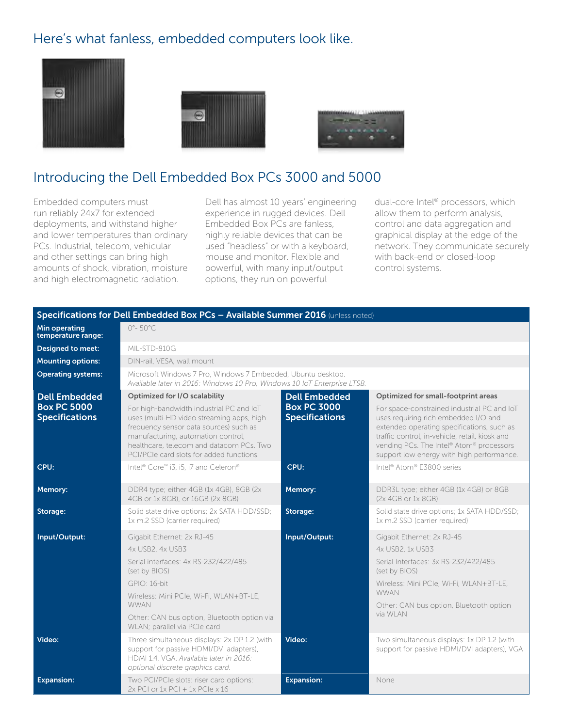#### Here's what fanless, embedded computers look like.







## Introducing the Dell Embedded Box PCs 3000 and 5000

Embedded computers must run reliably 24x7 for extended deployments, and withstand higher and lower temperatures than ordinary PCs. Industrial, telecom, vehicular and other settings can bring high amounts of shock, vibration, moisture and high electromagnetic radiation.

Dell has almost 10 years' engineering experience in rugged devices. Dell Embedded Box PCs are fanless, highly reliable devices that can be used "headless" or with a keyboard, mouse and monitor. Flexible and powerful, with many input/output options, they run on powerful

dual-core Intel® processors, which allow them to perform analysis, control and data aggregation and graphical display at the edge of the network. They communicate securely with back-end or closed-loop control systems.

| Specifications for Dell Embedded Box PCs - Available Summer 2016 (unless noted) |                                                                                                                                                                                                                                                               |                                             |                                                                                                                                                                                                                                                                              |  |
|---------------------------------------------------------------------------------|---------------------------------------------------------------------------------------------------------------------------------------------------------------------------------------------------------------------------------------------------------------|---------------------------------------------|------------------------------------------------------------------------------------------------------------------------------------------------------------------------------------------------------------------------------------------------------------------------------|--|
| Min operating<br>temperature range:                                             | $0^\circ - 50^\circ C$                                                                                                                                                                                                                                        |                                             |                                                                                                                                                                                                                                                                              |  |
| Designed to meet:                                                               | MII-STD-810G                                                                                                                                                                                                                                                  |                                             |                                                                                                                                                                                                                                                                              |  |
| <b>Mounting options:</b>                                                        | DIN-rail, VESA, wall mount                                                                                                                                                                                                                                    |                                             |                                                                                                                                                                                                                                                                              |  |
| <b>Operating systems:</b>                                                       | Microsoft Windows 7 Pro, Windows 7 Embedded, Ubuntu desktop.<br>Available later in 2016: Windows 10 Pro, Windows 10 IoT Enterprise LTSB.                                                                                                                      |                                             |                                                                                                                                                                                                                                                                              |  |
| <b>Dell Embedded</b>                                                            | Optimized for I/O scalability                                                                                                                                                                                                                                 | <b>Dell Embedded</b>                        | Optimized for small-footprint areas                                                                                                                                                                                                                                          |  |
| <b>Box PC 5000</b><br><b>Specifications</b>                                     | For high-bandwidth industrial PC and IoT<br>uses (multi-HD video streaming apps, high<br>frequency sensor data sources) such as<br>manufacturing, automation control,<br>healthcare, telecom and datacom PCs. Two<br>PCI/PCIe card slots for added functions. | <b>Box PC 3000</b><br><b>Specifications</b> | For space-constrained industrial PC and IoT<br>uses requiring rich embedded I/O and<br>extended operating specifications, such as<br>traffic control, in-vehicle, retail, kiosk and<br>vending PCs. The Intel® Atom® processors<br>support low energy with high performance. |  |
| CPU:                                                                            | Intel® Core™ i3, i5, i7 and Celeron®                                                                                                                                                                                                                          | CPU:                                        | Intel® Atom® E3800 series                                                                                                                                                                                                                                                    |  |
| Memory:                                                                         | DDR4 type; either 4GB (1x 4GB), 8GB (2x)<br>4GB or 1x 8GB), or 16GB (2x 8GB)                                                                                                                                                                                  | Memory:                                     | DDR3L type; either 4GB (1x 4GB) or 8GB<br>(2x 4GB or 1x 8GB)                                                                                                                                                                                                                 |  |
| Storage:                                                                        | Solid state drive options; 2x SATA HDD/SSD;<br>1x m.2 SSD (carrier required)                                                                                                                                                                                  | Storage:                                    | Solid state drive options; 1x SATA HDD/SSD;<br>1x m.2 SSD (carrier required)                                                                                                                                                                                                 |  |
| Input/Output:                                                                   | Gigabit Ethernet: 2x RJ-45                                                                                                                                                                                                                                    | Input/Output:                               | Gigabit Ethernet: 2x RJ-45                                                                                                                                                                                                                                                   |  |
|                                                                                 | 4x USB2, 4x USB3                                                                                                                                                                                                                                              |                                             | 4x USB2, 1x USB3                                                                                                                                                                                                                                                             |  |
|                                                                                 | Serial interfaces: 4x RS-232/422/485<br>(set by BIOS)                                                                                                                                                                                                         |                                             | Serial Interfaces: 3x RS-232/422/485<br>(set by BIOS)                                                                                                                                                                                                                        |  |
|                                                                                 | GPIO: 16-bit                                                                                                                                                                                                                                                  |                                             | Wireless: Mini PCIe, Wi-Fi, WLAN+BT-LE,                                                                                                                                                                                                                                      |  |
|                                                                                 | Wireless: Mini PCIe, Wi-Fi, WLAN+BT-LE,<br><b>WWAN</b>                                                                                                                                                                                                        |                                             | <b>WWAN</b><br>Other: CAN bus option, Bluetooth option                                                                                                                                                                                                                       |  |
|                                                                                 | Other: CAN bus option, Bluetooth option via<br>WLAN; parallel via PCIe card                                                                                                                                                                                   |                                             | via WLAN                                                                                                                                                                                                                                                                     |  |
| Video:                                                                          | Three simultaneous displays: 2x DP 1.2 (with<br>support for passive HDMI/DVI adapters),<br>HDMI 1.4, VGA. Available later in 2016:<br>optional discrete graphics card.                                                                                        | Video:                                      | Two simultaneous displays: 1x DP 1.2 (with<br>support for passive HDMI/DVI adapters), VGA                                                                                                                                                                                    |  |
| <b>Expansion:</b>                                                               | Two PCI/PCIe slots: riser card options:<br>$2x$ PCI or $1x$ PCI + $1x$ PCI e $x$ 16                                                                                                                                                                           | <b>Expansion:</b>                           | None                                                                                                                                                                                                                                                                         |  |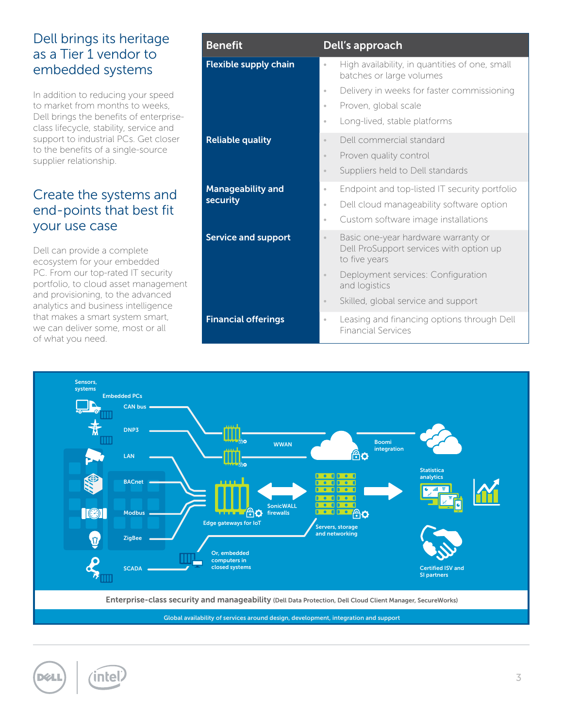#### Dell brings its heritage as a Tier 1 vendor to embedded systems

In addition to reducing your speed to market from months to weeks, Dell brings the benefits of enterpriseclass lifecycle, stability, service and support to industrial PCs. Get closer to the benefits of a single-source supplier relationship.

#### Create the systems and end-points that best fit your use case

Dell can provide a complete ecosystem for your embedded PC. From our top-rated IT security portfolio, to cloud asset management and provisioning, to the advanced analytics and business intelligence that makes a smart system smart, we can deliver some, most or all of what you need.

| <b>Benefit</b>               | Dell's approach                                                                                               |
|------------------------------|---------------------------------------------------------------------------------------------------------------|
| <b>Flexible supply chain</b> | High availability, in quantities of one, small<br>$\bullet$<br>batches or large volumes                       |
|                              | Delivery in weeks for faster commissioning<br>$\bullet$                                                       |
|                              | Proven, global scale<br>$\circ$                                                                               |
|                              | Long-lived, stable platforms<br>$\bullet$                                                                     |
| <b>Reliable quality</b>      | Dell commercial standard<br>$\circ$                                                                           |
|                              | Proven quality control<br>$\circ$                                                                             |
|                              | Suppliers held to Dell standards<br>$_{\odot}$                                                                |
| <b>Manageability and</b>     | Endpoint and top-listed IT security portfolio<br>$\circ$                                                      |
| security                     | Dell cloud manageability software option<br>$\circ$                                                           |
|                              | Custom software image installations<br>$\circ$                                                                |
| <b>Service and support</b>   | Basic one-year hardware warranty or<br>$_{\odot}$<br>Dell ProSupport services with option up<br>to five years |
|                              | Deployment services: Configuration<br>$_{\odot}$<br>and logistics                                             |
|                              | Skilled, global service and support<br>$\circ$                                                                |
| <b>Financial offerings</b>   | Leasing and financing options through Dell<br>$\circ$<br><b>Financial Services</b>                            |



Global availability of services around design, development, integration and support